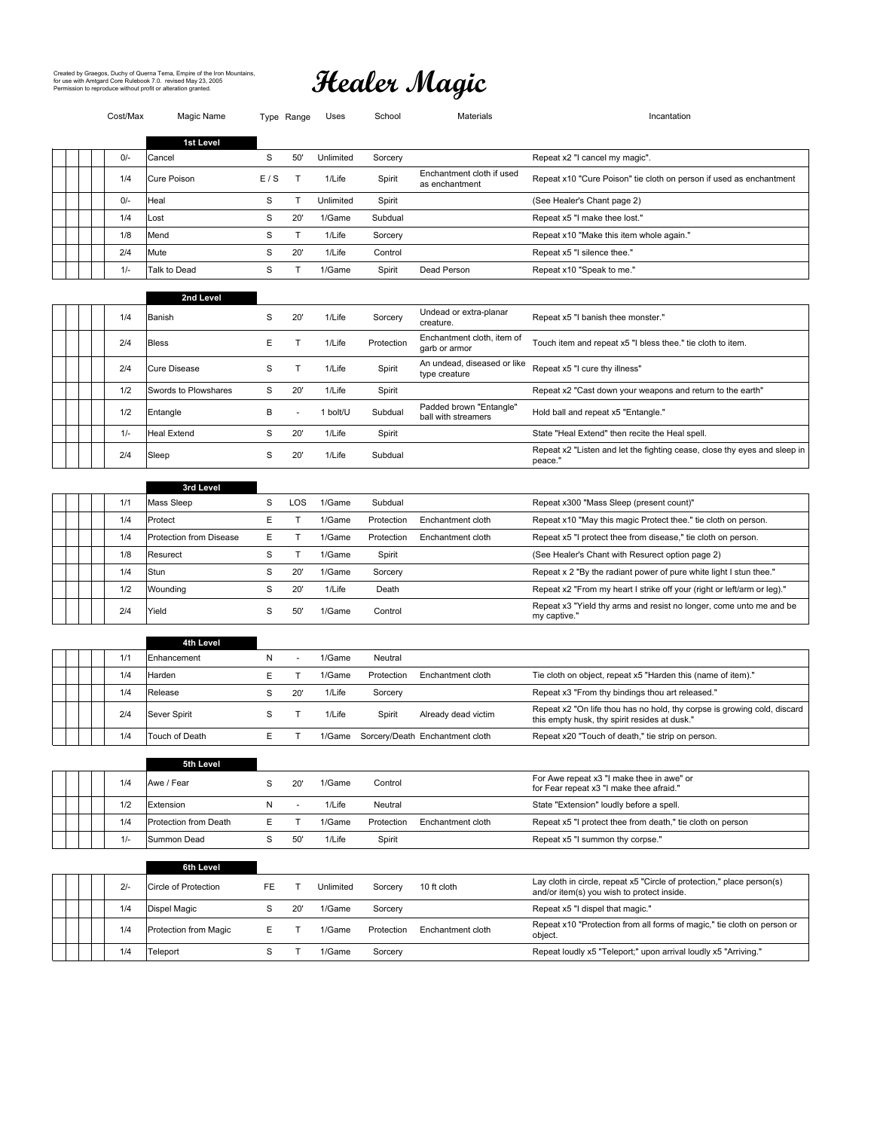# Created by Graegos, Duchy of Querna Tema, Empire of the Iron Mountains,<br>for use with Amtgard Core Rulebook 7.0. revised May 23, 2005<br>Permission to reproduce without profit or alteration granted.

| Cost/Max | Magic Name              |             | Type Range               | Uses      | School     | Materials                                      | Incantation                                                                                                                                    |
|----------|-------------------------|-------------|--------------------------|-----------|------------|------------------------------------------------|------------------------------------------------------------------------------------------------------------------------------------------------|
|          | 1st Level               |             |                          |           |            |                                                |                                                                                                                                                |
| $0/-$    | Cancel                  | S           | 50'                      | Unlimited | Sorcery    |                                                | Repeat x2 "I cancel my magic".                                                                                                                 |
| 1/4      | Cure Poison             | E/S         | Т                        | 1/Life    | Spirit     | Enchantment cloth if used<br>as enchantment    | Repeat x10 "Cure Poison" tie cloth on person if used as enchantment                                                                            |
| $0/-$    | Heal                    | S           | Т                        | Unlimited | Spirit     |                                                | (See Healer's Chant page 2)                                                                                                                    |
| 1/4      | _ost                    | S           | 20'                      | 1/Game    | Subdual    |                                                | Repeat x5 "I make thee lost."                                                                                                                  |
| 1/8      | Mend                    | S           | T                        | 1/Life    | Sorcery    |                                                | Repeat x10 "Make this item whole again."                                                                                                       |
| 2/4      | Mute                    | $\mathbf S$ | 20'                      | 1/Life    | Control    |                                                | Repeat x5 "I silence thee."                                                                                                                    |
| $1/-$    | Talk to Dead            | S           | $\mathsf T$              | 1/Game    | Spirit     | Dead Person                                    | Repeat x10 "Speak to me."                                                                                                                      |
|          | 2nd Level               |             |                          |           |            |                                                |                                                                                                                                                |
| 1/4      | Banish                  | $\mathbf S$ | 20'                      | 1/Life    | Sorcery    | Undead or extra-planar<br>creature.            | Repeat x5 "I banish thee monster."                                                                                                             |
| 2/4      | <b>Bless</b>            | Е           | T                        | 1/Life    | Protection | Enchantment cloth, item of<br>garb or armor    | Touch item and repeat x5 "I bless thee." tie cloth to item.                                                                                    |
| 2/4      | <b>Cure Disease</b>     | S           | T                        | 1/Life    | Spirit     | An undead, diseased or like<br>type creature   | Repeat x5 "I cure thy illness"                                                                                                                 |
| 1/2      | Swords to Plowshares    | S           | 20'                      | 1/Life    | Spirit     |                                                | Repeat x2 "Cast down your weapons and return to the earth"                                                                                     |
| 1/2      | Entangle                | B           | $\sim$                   | 1 bolt/U  | Subdual    | Padded brown "Entangle"<br>ball with streamers | Hold ball and repeat x5 "Entangle."                                                                                                            |
| $1/-$    | Heal Extend             | S           | 20'                      | 1/Life    | Spirit     |                                                | State "Heal Extend" then recite the Heal spell.                                                                                                |
| 2/4      | Sleep                   | S           | 20'                      | 1/Life    | Subdual    |                                                | Repeat x2 "Listen and let the fighting cease, close thy eyes and sleep in<br>peace."                                                           |
|          |                         |             |                          |           |            |                                                |                                                                                                                                                |
|          | 3rd Level               |             |                          |           |            |                                                |                                                                                                                                                |
| 1/1      | Mass Sleep              | S           | LOS                      | 1/Game    | Subdual    |                                                | Repeat x300 "Mass Sleep (present count)"                                                                                                       |
| 1/4      | Protect                 | Е           | T                        | 1/Game    | Protection | Enchantment cloth                              | Repeat x10 "May this magic Protect thee." tie cloth on person.                                                                                 |
| 1/4      | Protection from Disease | Е           | Т                        | 1/Game    | Protection | Enchantment cloth                              | Repeat x5 "I protect thee from disease," tie cloth on person.                                                                                  |
| 1/8      | Resurect                | S           | T                        | 1/Game    | Spirit     |                                                | (See Healer's Chant with Resurect option page 2)                                                                                               |
| 1/4      | Stun                    | $\mathbf S$ | 20'                      | 1/Game    | Sorcery    |                                                | Repeat x 2 "By the radiant power of pure white light I stun thee."                                                                             |
| 1/2      | Wounding                | S           | 20'                      | 1/Life    | Death      |                                                | Repeat x2 "From my heart I strike off your (right or left/arm or leg)."<br>Repeat x3 "Yield thy arms and resist no longer, come unto me and be |
| 2/4      | Yield                   | S           | 50'                      | 1/Game    | Control    |                                                | my captive."                                                                                                                                   |
|          | 4th Level               |             |                          |           |            |                                                |                                                                                                                                                |
| 1/1      | Enhancement             | N           | $\overline{\phantom{a}}$ | 1/Game    | Neutral    |                                                |                                                                                                                                                |
| 1/4      | Harden                  | Ε           | T                        | 1/Game    | Protection | Enchantment cloth                              | Tie cloth on object, repeat x5 "Harden this (name of item)."                                                                                   |
| 1/4      | Release                 | S           | 20'                      | 1/Life    | Sorcery    |                                                | Repeat x3 "From thy bindings thou art released."                                                                                               |
| 2/4      | Sever Spirit            | S           | $\mathsf{T}$             | 1/Life    | Spirit     | Already dead victim                            | Repeat x2 "On life thou has no hold, thy corpse is growing cold, discard<br>this empty husk, thy spirit resides at dusk."                      |
| 1/4      | Touch of Death          | Ε           | T                        | 1/Game    |            | Sorcery/Death Enchantment cloth                | Repeat x20 "Touch of death," tie strip on person.                                                                                              |
|          |                         |             |                          |           |            |                                                |                                                                                                                                                |
| 1/4      | 5th Level<br>Awe / Fear | S           | 20'                      | 1/Game    | Control    |                                                | For Awe repeat x3 "I make thee in awe" or                                                                                                      |
|          |                         |             |                          |           |            |                                                | for Fear repeat x3 "I make thee afraid."                                                                                                       |
| 1/2      | Extension               | N           | ÷                        | 1/Life    | Neutral    |                                                | State "Extension" loudly before a spell.                                                                                                       |
| 1/4      | Protection from Death   | Ε           | $\top$                   | 1/Game    | Protection | Enchantment cloth                              | Repeat x5 "I protect thee from death," tie cloth on person                                                                                     |
| $1/-$    | Summon Dead             | S           | 50'                      | 1/Life    | Spirit     |                                                | Repeat x5 "I summon thy corpse."                                                                                                               |
|          | 6th Level               |             |                          |           |            |                                                |                                                                                                                                                |
| $2/-$    | Circle of Protection    | FE          | T                        | Unlimited | Sorcery    | 10 ft cloth                                    | Lay cloth in circle, repeat x5 "Circle of protection," place person(s)<br>and/or item(s) you wish to protect inside.                           |
| 1/4      | Dispel Magic            | S           | 20'                      | 1/Game    | Sorcery    |                                                | Repeat x5 "I dispel that magic."                                                                                                               |
| 1/4      | Protection from Magic   | Е           | Т                        | 1/Game    | Protection | Enchantment cloth                              | Repeat x10 "Protection from all forms of magic," tie cloth on person or<br>object.                                                             |
| 1/4      | Teleport                | S           | Т                        | 1/Game    | Sorcery    |                                                | Repeat loudly x5 "Teleport;" upon arrival loudly x5 "Arriving."                                                                                |
|          |                         |             |                          |           |            |                                                |                                                                                                                                                |